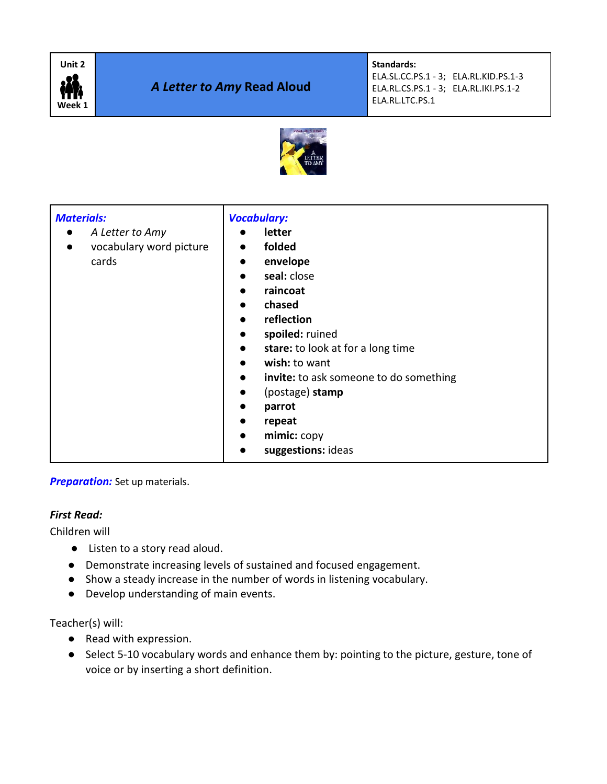

**Standards:** 

ELA.SL.CC.PS.1 - 3; ELA.RL.KID.PS.1-3 ELA.RL.CS.PS.1 - 3; ELA.RL.IKI.PS.1-2 ELA.RL.LTC.PS.1



| <b>Materials:</b><br>A Letter to Amy<br>vocabulary word picture<br>$\bullet$<br>cards | <b>Vocabulary:</b><br>letter<br>folded<br>$\bullet$<br>envelope<br>$\bullet$<br>seal: close<br>$\bullet$<br>raincoat<br>$\bullet$<br>chased<br>$\bullet$<br>reflection<br>$\bullet$<br>spoiled: ruined<br>$\bullet$<br>stare: to look at for a long time<br>$\bullet$<br>wish: to want<br>$\bullet$<br>invite: to ask someone to do something<br>$\bullet$<br>(postage) stamp<br>$\bullet$<br>parrot<br>$\bullet$<br>repeat<br>$\bullet$<br>mimic: copy<br>$\bullet$ |
|---------------------------------------------------------------------------------------|----------------------------------------------------------------------------------------------------------------------------------------------------------------------------------------------------------------------------------------------------------------------------------------------------------------------------------------------------------------------------------------------------------------------------------------------------------------------|
|                                                                                       | suggestions: ideas<br>$\bullet$                                                                                                                                                                                                                                                                                                                                                                                                                                      |
|                                                                                       |                                                                                                                                                                                                                                                                                                                                                                                                                                                                      |

**Preparation:** Set up materials.

## *First Read:*

Children will

- Listen to a story read aloud.
- Demonstrate increasing levels of sustained and focused engagement.
- Show a steady increase in the number of words in listening vocabulary.
- Develop understanding of main events.

Teacher(s) will:

- Read with expression.
- Select 5-10 vocabulary words and enhance them by: pointing to the picture, gesture, tone of voice or by inserting a short definition.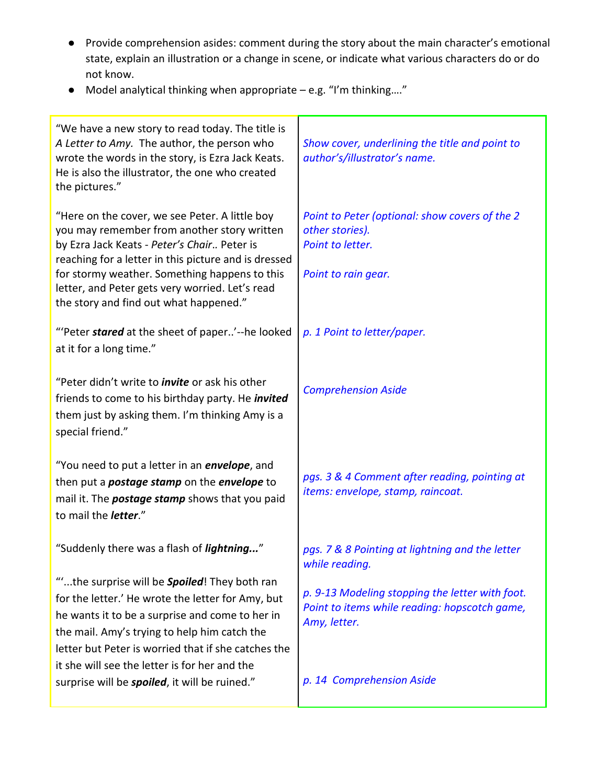- Provide comprehension asides: comment during the story about the main character's emotional state, explain an illustration or a change in scene, or indicate what various characters do or do not know.
- Model analytical thinking when appropriate e.g. "I'm thinking…."

| "We have a new story to read today. The title is<br>A Letter to Amy. The author, the person who<br>wrote the words in the story, is Ezra Jack Keats.<br>He is also the illustrator, the one who created<br>the pictures."                                                                                                                          | Show cover, underlining the title and point to<br>author's/illustrator's name.                                   |
|----------------------------------------------------------------------------------------------------------------------------------------------------------------------------------------------------------------------------------------------------------------------------------------------------------------------------------------------------|------------------------------------------------------------------------------------------------------------------|
| "Here on the cover, we see Peter. A little boy<br>you may remember from another story written<br>by Ezra Jack Keats - Peter's Chair Peter is<br>reaching for a letter in this picture and is dressed<br>for stormy weather. Something happens to this<br>letter, and Peter gets very worried. Let's read<br>the story and find out what happened." | Point to Peter (optional: show covers of the 2<br>other stories).<br>Point to letter.<br>Point to rain gear.     |
| "'Peter stared at the sheet of paper'--he looked<br>at it for a long time."                                                                                                                                                                                                                                                                        | p. 1 Point to letter/paper.                                                                                      |
| "Peter didn't write to <i>invite</i> or ask his other<br>friends to come to his birthday party. He <i>invited</i><br>them just by asking them. I'm thinking Amy is a<br>special friend."                                                                                                                                                           | <b>Comprehension Aside</b>                                                                                       |
| "You need to put a letter in an <i>envelope</i> , and<br>then put a <i>postage stamp</i> on the <i>envelope</i> to<br>mail it. The <b>postage stamp</b> shows that you paid<br>to mail the <i>letter."</i>                                                                                                                                         | pgs. 3 & 4 Comment after reading, pointing at<br>items: envelope, stamp, raincoat.                               |
| "Suddenly there was a flash of <i>lightning</i> "                                                                                                                                                                                                                                                                                                  | pgs. 7 & 8 Pointing at lightning and the letter<br>while reading.                                                |
| ""the surprise will be <b>Spoiled</b> ! They both ran<br>for the letter.' He wrote the letter for Amy, but<br>he wants it to be a surprise and come to her in<br>the mail. Amy's trying to help him catch the<br>letter but Peter is worried that if she catches the<br>it she will see the letter is for her and the                              | p. 9-13 Modeling stopping the letter with foot.<br>Point to items while reading: hopscotch game,<br>Amy, letter. |
| surprise will be <i>spoiled</i> , it will be ruined."                                                                                                                                                                                                                                                                                              | p. 14 Comprehension Aside                                                                                        |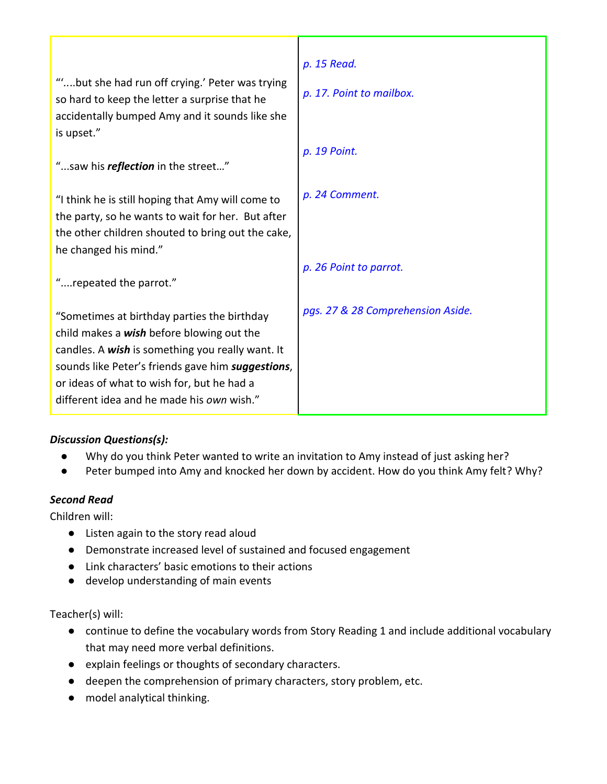|                                                                                                        | p. 15 Read.                       |
|--------------------------------------------------------------------------------------------------------|-----------------------------------|
| "but she had run off crying.' Peter was trying<br>so hard to keep the letter a surprise that he        | p. 17. Point to mailbox.          |
| accidentally bumped Amy and it sounds like she                                                         |                                   |
| is upset."                                                                                             | p. 19 Point.                      |
| "saw his <i>reflection</i> in the street"                                                              |                                   |
| "I think he is still hoping that Amy will come to<br>the party, so he wants to wait for her. But after | p. 24 Comment.                    |
| the other children shouted to bring out the cake,                                                      |                                   |
| he changed his mind."                                                                                  |                                   |
| "repeated the parrot."                                                                                 | p. 26 Point to parrot.            |
| "Sometimes at birthday parties the birthday                                                            | pgs. 27 & 28 Comprehension Aside. |
| child makes a wish before blowing out the                                                              |                                   |
| candles. A wish is something you really want. It<br>sounds like Peter's friends gave him suggestions,  |                                   |
| or ideas of what to wish for, but he had a                                                             |                                   |
| different idea and he made his own wish."                                                              |                                   |

## *Discussion Questions(s):*

- Why do you think Peter wanted to write an invitation to Amy instead of just asking her?
- Peter bumped into Amy and knocked her down by accident. How do you think Amy felt? Why?

# *Second Read*

Children will:

- Listen again to the story read aloud
- Demonstrate increased level of sustained and focused engagement
- Link characters' basic emotions to their actions
- develop understanding of main events

Teacher(s) will:

- continue to define the vocabulary words from Story Reading 1 and include additional vocabulary that may need more verbal definitions.
- explain feelings or thoughts of secondary characters.
- deepen the comprehension of primary characters, story problem, etc.
- model analytical thinking.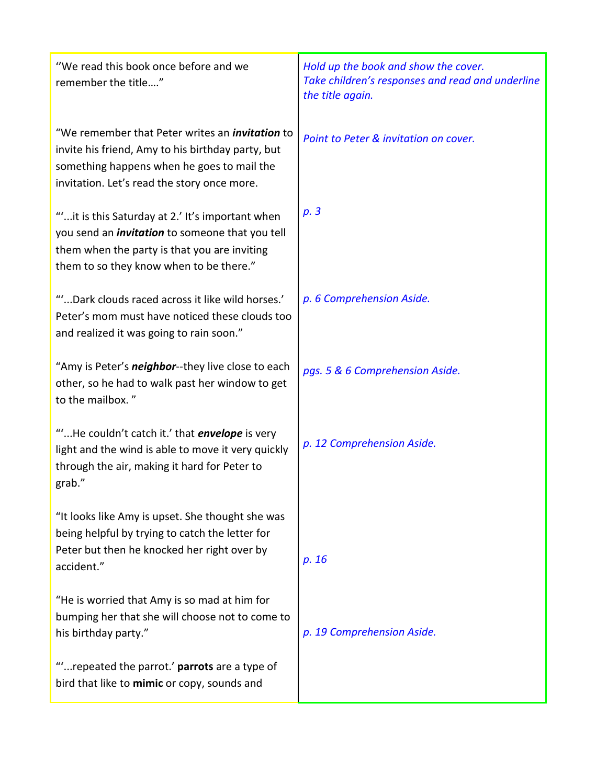| "We read this book once before and we<br>remember the title"                                                                                                                                             | Hold up the book and show the cover.<br>Take children's responses and read and underline<br>the title again. |
|----------------------------------------------------------------------------------------------------------------------------------------------------------------------------------------------------------|--------------------------------------------------------------------------------------------------------------|
| "We remember that Peter writes an <i>invitation</i> to<br>invite his friend, Amy to his birthday party, but<br>something happens when he goes to mail the<br>invitation. Let's read the story once more. | Point to Peter & invitation on cover.                                                                        |
| ""it is this Saturday at 2.' It's important when<br>you send an <i>invitation</i> to someone that you tell<br>them when the party is that you are inviting<br>them to so they know when to be there."    | p. 3                                                                                                         |
| "Dark clouds raced across it like wild horses."<br>Peter's mom must have noticed these clouds too<br>and realized it was going to rain soon."                                                            | p. 6 Comprehension Aside.                                                                                    |
| "Amy is Peter's <i>neighbor</i> --they live close to each<br>other, so he had to walk past her window to get<br>to the mailbox."                                                                         | pgs. 5 & 6 Comprehension Aside.                                                                              |
| ""He couldn't catch it.' that envelope is very<br>light and the wind is able to move it very quickly<br>through the air, making it hard for Peter to<br>grab."                                           | p. 12 Comprehension Aside.                                                                                   |
| "It looks like Amy is upset. She thought she was<br>being helpful by trying to catch the letter for<br>Peter but then he knocked her right over by<br>accident."                                         | p. 16                                                                                                        |
| "He is worried that Amy is so mad at him for<br>bumping her that she will choose not to come to<br>his birthday party."                                                                                  | p. 19 Comprehension Aside.                                                                                   |
| ""repeated the parrot.' parrots are a type of<br>bird that like to mimic or copy, sounds and                                                                                                             |                                                                                                              |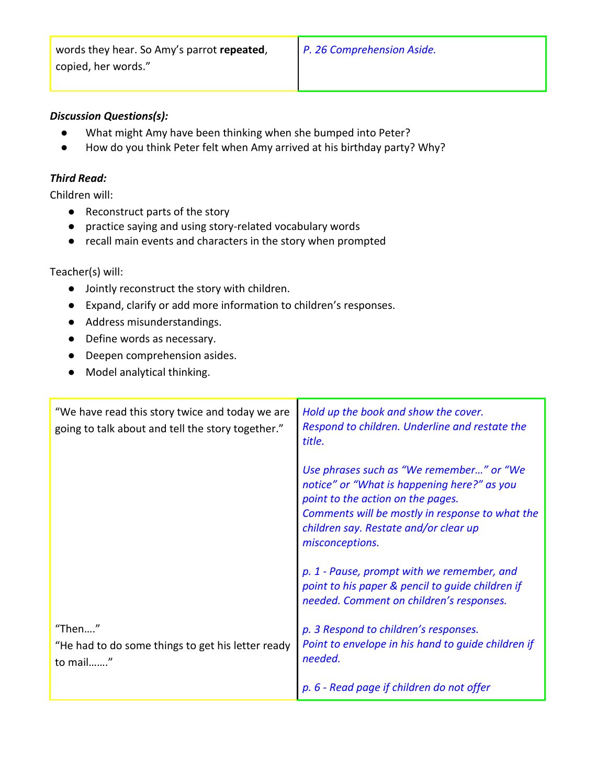words they hear. So Amy's parrot **repeated**, copied, her words."

### *Discussion Questions(s):*

- What might Amy have been thinking when she bumped into Peter?
- How do you think Peter felt when Amy arrived at his birthday party? Why?

#### *Third Read:*

Children will:

- Reconstruct parts of the story
- practice saying and using story-related vocabulary words
- recall main events and characters in the story when prompted

### Teacher(s) will:

- Jointly reconstruct the story with children.
- Expand, clarify or add more information to children's responses.
- Address misunderstandings.
- Define words as necessary.
- Deepen comprehension asides.
- Model analytical thinking.

| "We have read this story twice and today we are<br>going to talk about and tell the story together." | Hold up the book and show the cover.<br>Respond to children. Underline and restate the<br>title.                                                                                                                                            |
|------------------------------------------------------------------------------------------------------|---------------------------------------------------------------------------------------------------------------------------------------------------------------------------------------------------------------------------------------------|
|                                                                                                      | Use phrases such as "We remember" or "We<br>notice" or "What is happening here?" as you<br>point to the action on the pages.<br>Comments will be mostly in response to what the<br>children say. Restate and/or clear up<br>misconceptions. |
|                                                                                                      | p. 1 - Pause, prompt with we remember, and<br>point to his paper & pencil to guide children if<br>needed. Comment on children's responses.                                                                                                  |
| "Then"<br>"He had to do some things to get his letter ready<br>to mail"                              | p. 3 Respond to children's responses.<br>Point to envelope in his hand to guide children if<br>needed.                                                                                                                                      |
|                                                                                                      | p. 6 - Read page if children do not offer                                                                                                                                                                                                   |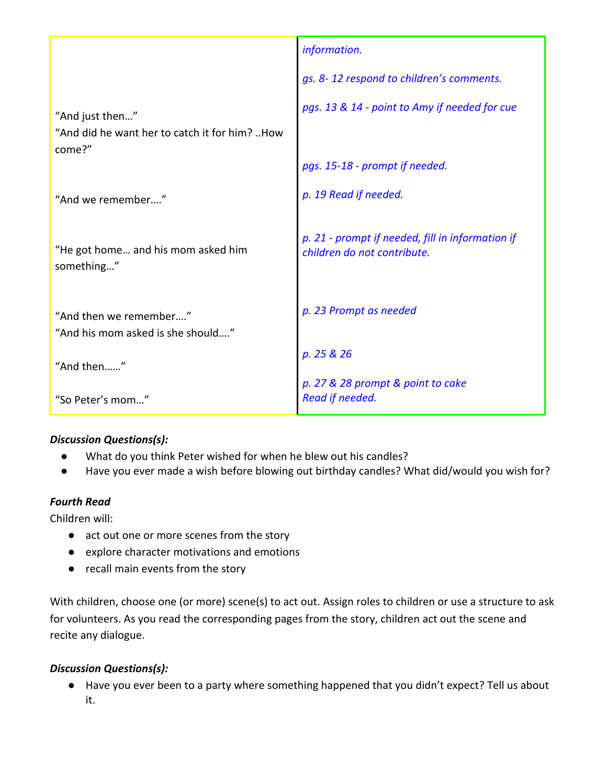|                                                                            | information.                                                                    |
|----------------------------------------------------------------------------|---------------------------------------------------------------------------------|
|                                                                            | gs. 8-12 respond to children's comments.                                        |
| "And just then"<br>"And did he want her to catch it for him? How<br>come?" | pgs. 13 & 14 - point to Amy if needed for cue                                   |
|                                                                            | pgs. 15-18 - prompt if needed.                                                  |
| "And we remember"                                                          | p. 19 Read if needed.                                                           |
| "He got home and his mom asked him<br>something"                           | p. 21 - prompt if needed, fill in information if<br>children do not contribute. |
| "And then we remember"<br>"And his mom asked is she should"                | p. 23 Prompt as needed                                                          |
| "And then"                                                                 | p. 25 & 26                                                                      |
| "So Peter's mom"                                                           | p. 27 & 28 prompt & point to cake<br>Read if needed.                            |

## *Discussion Questions(s):*

- What do you think Peter wished for when he blew out his candles?
- Have you ever made a wish before blowing out birthday candles? What did/would you wish for?

# *Fourth Read*

Children will:

- act out one or more scenes from the story
- explore character motivations and emotions
- recall main events from the story

With children, choose one (or more) scene(s) to act out. Assign roles to children or use a structure to ask for volunteers. As you read the corresponding pages from the story, children act out the scene and recite any dialogue.

## *Discussion Questions(s):*

● Have you ever been to a party where something happened that you didn't expect? Tell us about it.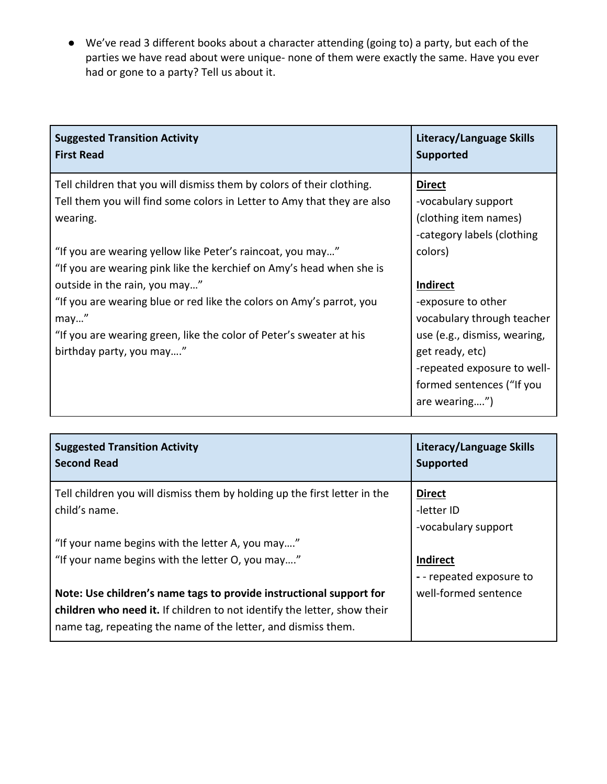● We've read 3 different books about a character attending (going to) a party, but each of the parties we have read about were unique- none of them were exactly the same. Have you ever had or gone to a party? Tell us about it.

| <b>Suggested Transition Activity</b><br><b>First Read</b>                                                                                        | Literacy/Language Skills<br><b>Supported</b> |
|--------------------------------------------------------------------------------------------------------------------------------------------------|----------------------------------------------|
| Tell children that you will dismiss them by colors of their clothing.<br>Tell them you will find some colors in Letter to Amy that they are also | <b>Direct</b><br>-vocabulary support         |
| wearing.                                                                                                                                         | (clothing item names)                        |
|                                                                                                                                                  | -category labels (clothing                   |
| "If you are wearing yellow like Peter's raincoat, you may"                                                                                       | colors)                                      |
| "If you are wearing pink like the kerchief on Amy's head when she is                                                                             |                                              |
| outside in the rain, you may"                                                                                                                    | <b>Indirect</b>                              |
| "If you are wearing blue or red like the colors on Amy's parrot, you                                                                             | -exposure to other                           |
| may"                                                                                                                                             | vocabulary through teacher                   |
| "If you are wearing green, like the color of Peter's sweater at his                                                                              | use (e.g., dismiss, wearing,                 |
| birthday party, you may"                                                                                                                         | get ready, etc)                              |
|                                                                                                                                                  | -repeated exposure to well-                  |
|                                                                                                                                                  | formed sentences ("If you                    |
|                                                                                                                                                  | are wearing")                                |

| <b>Suggested Transition Activity</b><br><b>Second Read</b>                | Literacy/Language Skills<br><b>Supported</b> |
|---------------------------------------------------------------------------|----------------------------------------------|
| Tell children you will dismiss them by holding up the first letter in the | <b>Direct</b>                                |
| child's name.                                                             | -letter ID                                   |
|                                                                           | -vocabulary support                          |
| "If your name begins with the letter A, you may"                          |                                              |
| "If your name begins with the letter O, you may"                          | <b>Indirect</b>                              |
|                                                                           | -- repeated exposure to                      |
| Note: Use children's name tags to provide instructional support for       | well-formed sentence                         |
| children who need it. If children to not identify the letter, show their  |                                              |
| name tag, repeating the name of the letter, and dismiss them.             |                                              |